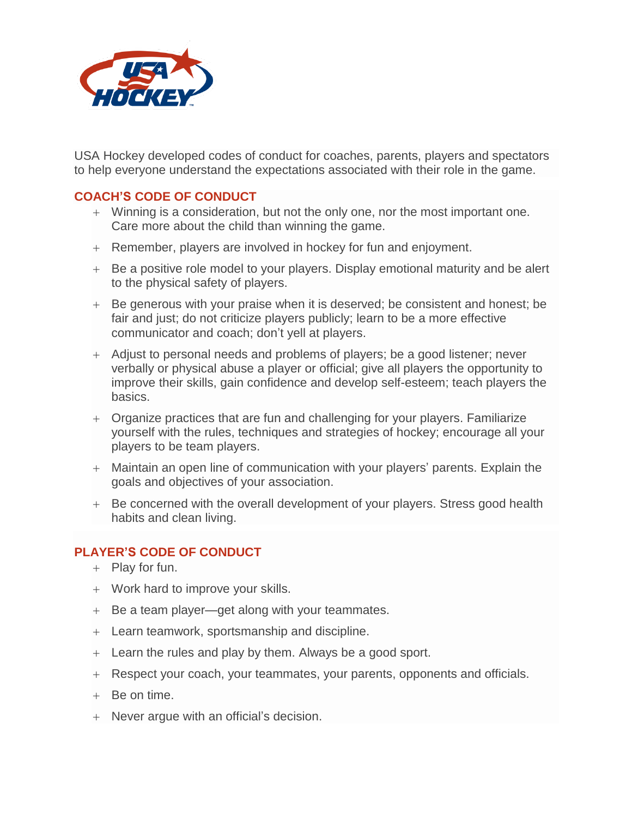

USA Hockey developed codes of conduct for coaches, parents, players and spectators to help everyone understand the expectations associated with their role in the game.

## **COACH'S CODE OF CONDUCT**

- Winning is a consideration, but not the only one, nor the most important one. Care more about the child than winning the game.
- Remember, players are involved in hockey for fun and enjoyment.
- Be a positive role model to your players. Display emotional maturity and be alert to the physical safety of players.
- Be generous with your praise when it is deserved; be consistent and honest; be fair and just; do not criticize players publicly; learn to be a more effective communicator and coach; don't yell at players.
- Adjust to personal needs and problems of players; be a good listener; never verbally or physical abuse a player or official; give all players the opportunity to improve their skills, gain confidence and develop self-esteem; teach players the basics.
- Organize practices that are fun and challenging for your players. Familiarize yourself with the rules, techniques and strategies of hockey; encourage all your players to be team players.
- Maintain an open line of communication with your players' parents. Explain the goals and objectives of your association.
- + Be concerned with the overall development of your players. Stress good health habits and clean living.

## **PLAYER'S CODE OF CONDUCT**

- $+$  Play for fun.
- Work hard to improve your skills.
- $+$  Be a team player—get along with your teammates.
- Learn teamwork, sportsmanship and discipline.
- Learn the rules and play by them. Always be a good sport.
- Respect your coach, your teammates, your parents, opponents and officials.
- Be on time.
- Never argue with an official's decision.